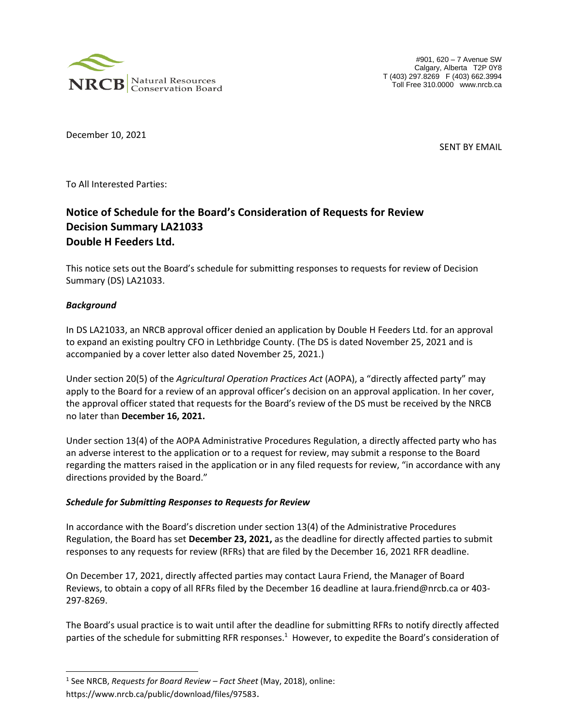

#901, 620 – 7 Avenue SW Calgary, Alberta T2P 0Y8 T (403) 297.8269 F (403) 662.3994 Toll Free 310.0000 www.nrcb.ca

December 10, 2021

SENT BY EMAIL

To All Interested Parties:

## **Notice of Schedule for the Board's Consideration of Requests for Review Decision Summary LA21033 Double H Feeders Ltd.**

This notice sets out the Board's schedule for submitting responses to requests for review of Decision Summary (DS) LA21033.

## *Background*

l

In DS LA21033, an NRCB approval officer denied an application by Double H Feeders Ltd. for an approval to expand an existing poultry CFO in Lethbridge County. (The DS is dated November 25, 2021 and is accompanied by a cover letter also dated November 25, 2021.)

Under section 20(5) of the *Agricultural Operation Practices Act* (AOPA), a "directly affected party" may apply to the Board for a review of an approval officer's decision on an approval application. In her cover, the approval officer stated that requests for the Board's review of the DS must be received by the NRCB no later than **December 16, 2021.**

Under section 13(4) of the AOPA Administrative Procedures Regulation, a directly affected party who has an adverse interest to the application or to a request for review, may submit a response to the Board regarding the matters raised in the application or in any filed requests for review, "in accordance with any directions provided by the Board."

## *Schedule for Submitting Responses to Requests for Review*

In accordance with the Board's discretion under section 13(4) of the Administrative Procedures Regulation, the Board has set **December 23, 2021,** as the deadline for directly affected parties to submit responses to any requests for review (RFRs) that are filed by the December 16, 2021 RFR deadline.

On December 17, 2021, directly affected parties may contact Laura Friend, the Manager of Board Reviews, to obtain a copy of all RFRs filed by the December 16 deadline at laura.friend@nrcb.ca or 403- 297-8269.

The Board's usual practice is to wait until after the deadline for submitting RFRs to notify directly affected parties of the schedule for submitting RFR responses.<sup>1</sup> However, to expedite the Board's consideration of

<sup>1</sup> See NRCB, *Requests for Board Review – Fact Sheet* (May, 2018), online:

https://www.nrcb.ca/public/download/files/97583.